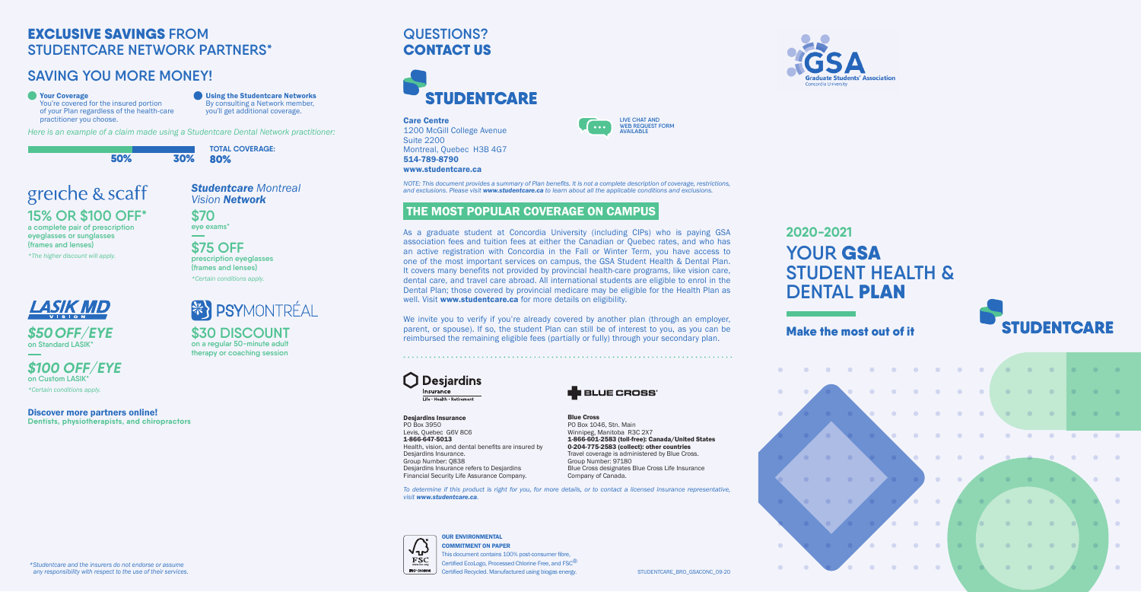**STUDENT HEALTH &** 



Make the most out of it



OUR ENVIRONMENTAL √-⊾่

**FSC: C009906** 

**FSC** 

# **QUESTIONS?**  CONTACT US



COMMITMENT ON PAPER

This document contains 100% post-consumer fibre, Certified EcoLogo, Processed Chlorine Free, and FSC<sup>®</sup> Certified Recycled. Manufactured using biogas energy.



# **2020-2021 YOUR** GSA **DENTAL PLAN**

### Care Centre

As a graduate student at Concordia University (including CIPs) who is paying GSA association fees and tuition fees at either the Canadian or Quebec rates, and who has an active registration with Concordia in the Fall or Winter Term, you have access to one of the most important services on campus, the GSA Student Health & Dental Plan. It covers many benefits not provided by provincial health-care programs, like vision care, dental care, and travel care abroad. All international students are eligible to enrol in the Dental Plan; those covered by provincial medicare may be eligible for the Health Plan as well. Visit www.studentcare.ca for more details on eligibility.

1200 McGill College Avenue Suite 2200 Montreal, Quebec H3B 4G7 514-789-8790

**LIVE CHAT AND WEB REQUEST FORM AVAILABLE**

#### www.studentcare.ca

*NOTE: This document provides a summary of Plan benefits. It is not a complete description of coverage, restrictions, and exclusions. Please visit www.studentcare.ca to learn about all the applicable conditions and exclusions.*

 $\mathbf{L}$  . . .

### THE MOST POPULAR COVERAGE ON CAMPUS

We invite you to verify if you're already covered by another plan (through an employer, parent, or spouse). If so, the student Plan can still be of interest to you, as you can be reimbursed the remaining eligible fees (partially or fully) through your secondary plan.

**Desjardins** Insurance Life · Health · Retirement

#### **Coverage** You're covered for the insured portion of your Plan regardless of the health-care practitioner you choose.

Desjardins Insurance PO Box 3950 Levis, Quebec G6V 8C6 1-866-647-5013 Health, vision, and dental benefits are insured by Desjardins Insurance. Group Number: Q838 Desjardins Insurance refers to Desjardins Financial Security Life Assurance Company.

Blue Cross PO Box 1046, Stn. Main Winnipeg, Manitoba R3C 2X7

1-866-601-2583 (toll-free): Canada/United States 0-204-775-2583 (collect): other countries Travel coverage is administered by Blue Cross.

**BLUE CROSS** 

Group Number: 97180

Blue Cross designates Blue Cross Life Insurance



 *\*Studentcare and the insurers do not endorse or assume any responsibility with respect to the use of their services.*

# EXCLUSIVE SAVINGS **FROM STUDENTCARE NETWORK PARTNERS\***

# **SAVING YOU MORE MONEY!**

Using the Studentcare Networks By consulting a Network member, you'll get additional coverage.

*Here is an example of a claim made using a Studentcare Dental Network practitioner:*

50% 30%

**TOTAL COVERAGE:** 80%

# greiche & scaff

**15% OR \$100 OFF\* a complete pair of prescription eyeglasses or sunglasses (frames and lenses)**

*\*The higher discount will apply.*

### *Studentcare Montreal Vision Network*

**\$70 eye exams\***

**\$75 OFF prescription eyeglasses (frames and lenses)** *\*Certain conditions apply.* 

# **XX PSYMONTRÉAL**



*\$50OFF/EYE* **on Standard LASIK\***

# *\$100 OFF/EYE* **on Custom LASIK\***

*\*Certain conditions apply.*

**\$30 DISCOUNT on a regular 50-minute adult therapy or coaching session**

Discover more partners online! **Dentists, physiotherapists, and chiropractors**